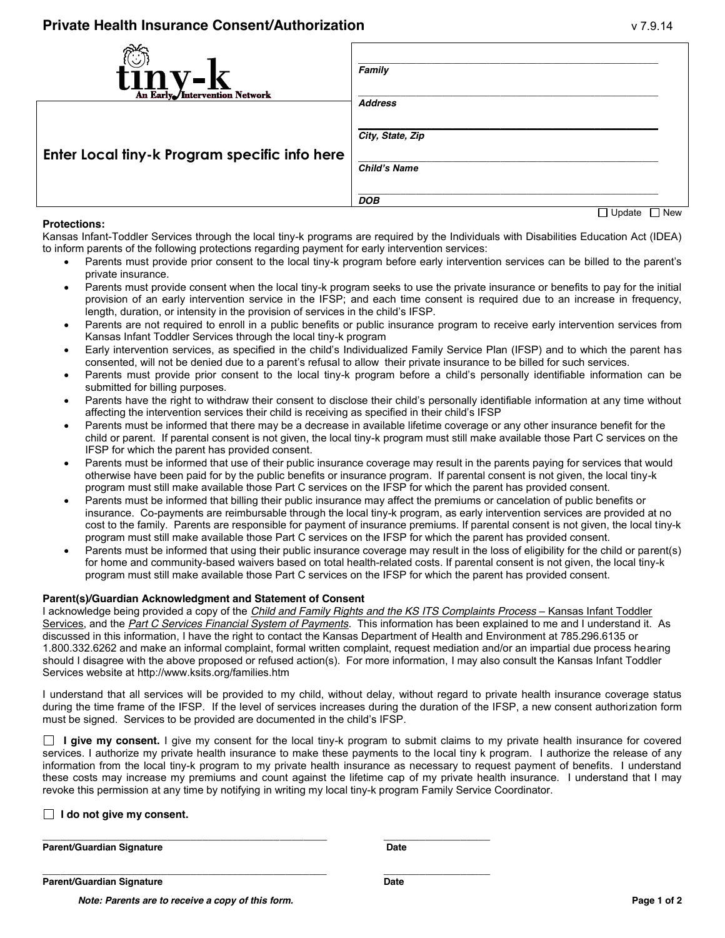| tinv-l<br>An Early Intervention Network       | Family<br><b>Address</b>                   |
|-----------------------------------------------|--------------------------------------------|
| Enter Local tiny-k Program specific info here | City, State, Zip<br><b>Child's Name</b>    |
|                                               | <b>DOB</b><br>$\Box$ Lindato<br>$\Box$ Now |

## **Protections:**

I I Update I I New

Kansas Infant-Toddler Services through the local tiny-k programs are required by the Individuals with Disabilities Education Act (IDEA) to inform parents of the following protections regarding payment for early intervention services:

- Parents must provide prior consent to the local tiny-k program before early intervention services can be billed to the parent's private insurance.
- Parents must provide consent when the local tiny-k program seeks to use the private insurance or benefits to pay for the initial provision of an early intervention service in the IFSP; and each time consent is required due to an increase in frequency, length, duration, or intensity in the provision of services in the child's IFSP.
- Parents are not required to enroll in a public benefits or public insurance program to receive early intervention services from Kansas Infant Toddler Services through the local tiny-k program
- Early intervention services, as specified in the child's Individualized Family Service Plan (IFSP) and to which the parent has consented, will not be denied due to a parent's refusal to allow their private insurance to be billed for such services.
- Parents must provide prior consent to the local tiny-k program before a child's personally identifiable information can be submitted for billing purposes.
- Parents have the right to withdraw their consent to disclose their child's personally identifiable information at any time without affecting the intervention services their child is receiving as specified in their child's IFSP
- Parents must be informed that there may be a decrease in available lifetime coverage or any other insurance benefit for the child or parent. If parental consent is not given, the local tiny-k program must still make available those Part C services on the IFSP for which the parent has provided consent.
- Parents must be informed that use of their public insurance coverage may result in the parents paying for services that would otherwise have been paid for by the public benefits or insurance program. If parental consent is not given, the local tiny-k program must still make available those Part C services on the IFSP for which the parent has provided consent.
- Parents must be informed that billing their public insurance may affect the premiums or cancelation of public benefits or insurance. Co-payments are reimbursable through the local tiny-k program, as early intervention services are provided at no cost to the family. Parents are responsible for payment of insurance premiums. If parental consent is not given, the local tiny-k program must still make available those Part C services on the IFSP for which the parent has provided consent.
- Parents must be informed that using their public insurance coverage may result in the loss of eligibility for the child or parent(s) for home and community-based waivers based on total health-related costs. If parental consent is not given, the local tiny-k program must still make available those Part C services on the IFSP for which the parent has provided consent.

## **Parent(s)/Guardian Acknowledgment and Statement of Consent**

I acknowledge being provided a copy of the *Child and Family Rights and the KS ITS Complaints Process* – Kansas Infant Toddler Services, and the *Part C Services Financial System of Payments*. This information has been explained to me and I understand it. As discussed in this information, I have the right to contact the Kansas Department of Health and Environment at 785.296.6135 or 1.800.332.6262 and make an informal complaint, formal written complaint, request mediation and/or an impartial due process hearing should I disagree with the above proposed or refused action(s). For more information, I may also consult the Kansas Infant Toddler Services website at http://www.ksits.org/families.htm

I understand that all services will be provided to my child, without delay, without regard to private health insurance coverage status during the time frame of the IFSP. If the level of services increases during the duration of the IFSP, a new consent authorization form must be signed. Services to be provided are documented in the child's IFSP.

 **I give my consent.** I give my consent for the local tiny-k program to submit claims to my private health insurance for covered services. I authorize my private health insurance to make these payments to the local tiny k program. I authorize the release of any information from the local tiny-k program to my private health insurance as necessary to request payment of benefits. I understand these costs may increase my premiums and count against the lifetime cap of my private health insurance. I understand that I may revoke this permission at any time by notifying in writing my local tiny-k program Family Service Coordinator.

|  |  |  |  |  | $\Box$ I do not give my consent. |
|--|--|--|--|--|----------------------------------|
|--|--|--|--|--|----------------------------------|

**\_\_\_\_\_\_\_\_\_\_\_\_\_\_\_\_\_\_\_\_\_\_\_\_\_\_\_\_\_\_\_\_\_\_\_\_\_\_\_\_\_\_\_\_\_\_\_\_ \_\_\_\_\_\_\_\_\_\_\_\_\_\_\_\_\_\_** Parent/Guardian Signature **Date** Date

**Parent/Guardian Signature Community Community Community Community Community Community Community Community Community** 

**\_\_\_\_\_\_\_\_\_\_\_\_\_\_\_\_\_\_\_\_\_\_\_\_\_\_\_\_\_\_\_\_\_\_\_\_\_\_\_\_\_\_\_\_\_\_\_\_ \_\_\_\_\_\_\_\_\_\_\_\_\_\_\_\_\_\_**

*Note: Parents are to receive a copy of this form.* **Page 1 of 2**